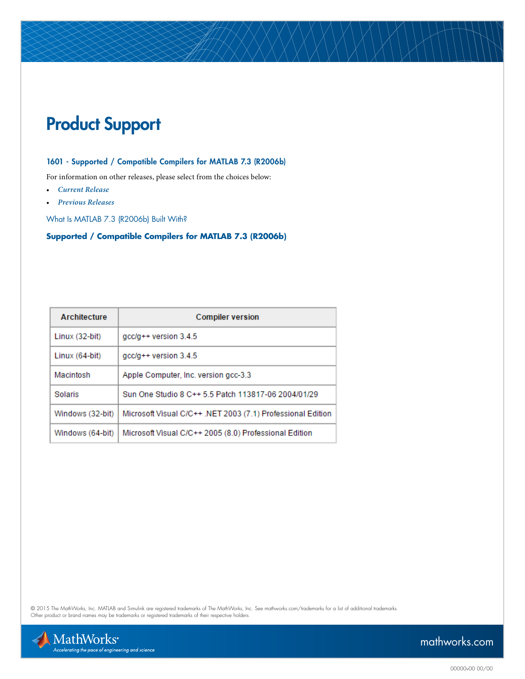# Product Support

### 1601 - Supported / Compatible Compilers for MATLAB 7.3 (R2006b)

For information on other releases, please select from the choices below:

- *[Current Release](http://www.mathworks.com/support/compilers/current_release/)*
- *[Previous Releases](http://www.mathworks.com/support/sysreq/previous_releases.html )*

What Is MATLAB 7.3 (R2006b) Built With?

### **Supported / Compatible Compilers for MATLAB 7.3 (R2006b)**

| Architecture     | <b>Compiler version</b>                                     |
|------------------|-------------------------------------------------------------|
| Linux (32-bit)   | $qcc/q++$ version 3.4.5                                     |
| Linux (64-bit)   | $gcc/g++$ version 3.4.5                                     |
| Macintosh        | Apple Computer, Inc. version gcc-3.3                        |
| Solaris          | Sun One Studio 8 C++ 5.5 Patch 113817-06 2004/01/29         |
| Windows (32-bit) | Microsoft Visual C/C++ .NET 2003 (7.1) Professional Edition |
| Windows (64-bit) | Microsoft Visual C/C++ 2005 (8.0) Professional Edition      |

© 2015 The MathWorks, Inc. MATLAB and Simulink are registered trademarks of The MathWorks, Inc. See [mathworks.com/trademarks](http://www.mathworks.com/trademarks) for a list of additional trademarks.<br>Other product or brand names may be trademarks or registered

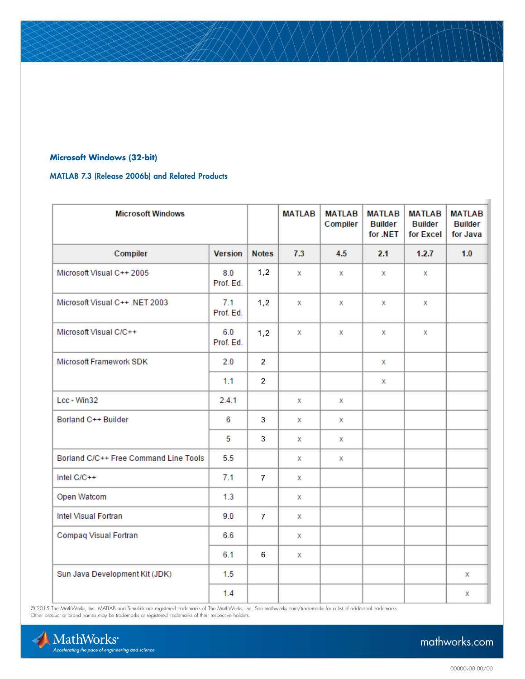### **Microsoft Windows (32-bit)**

### MATLAB 7.3 (Release 2006b) and Related Products

| <b>Microsoft Windows</b>              |                  |                | <b>MATLAB</b> | <b>MATLAB</b><br>Compiler | <b>MATLAB</b><br><b>Builder</b><br>for .NET | <b>MATLAB</b><br><b>Builder</b><br>for Excel | <b>MATLAB</b><br><b>Builder</b><br>for Java |
|---------------------------------------|------------------|----------------|---------------|---------------------------|---------------------------------------------|----------------------------------------------|---------------------------------------------|
| Compiler                              | Version          | <b>Notes</b>   | 7.3           | 4.5                       | 2.1                                         | 1.2.7                                        | 1.0                                         |
| Microsoft Visual C++ 2005             | 8.0<br>Prof. Ed. | 1,2            | x             | x                         | x                                           | x                                            |                                             |
| Microsoft Visual C++ .NET 2003        | 7.1<br>Prof. Ed. | 1,2            | x             | x                         | x                                           | x                                            |                                             |
| Microsoft Visual C/C++                | 6.0<br>Prof. Ed. | 1,2            | x             | x                         | х                                           | x                                            |                                             |
| <b>Microsoft Framework SDK</b>        | 2.0              | $\overline{2}$ |               |                           | x                                           |                                              |                                             |
|                                       | 1.1              | $\overline{2}$ |               |                           | х                                           |                                              |                                             |
| Lcc - Win32                           | 2.4.1            |                | x             | x                         |                                             |                                              |                                             |
| Borland C++ Builder                   | 6                | 3              | х             | x                         |                                             |                                              |                                             |
|                                       | 5                | $\mathbf{3}$   | x             | x                         |                                             |                                              |                                             |
| Borland C/C++ Free Command Line Tools | 5.5              |                | x             | x                         |                                             |                                              |                                             |
| Intel C/C++                           | 7.1              | $\overline{7}$ | х             |                           |                                             |                                              |                                             |
| Open Watcom                           | 1.3              |                | х             |                           |                                             |                                              |                                             |
| Intel Visual Fortran                  | 9.0              | $\overline{7}$ | х             |                           |                                             |                                              |                                             |
| Compaq Visual Fortran                 | 6.6              |                | х             |                           |                                             |                                              |                                             |
|                                       | 6.1              | $\,6\,$        | x             |                           |                                             |                                              |                                             |
| Sun Java Development Kit (JDK)        | 1.5              |                |               |                           |                                             |                                              | x                                           |
|                                       | 1.4              |                |               |                           |                                             |                                              | x                                           |

© 2015 The MathWorks, Inc. MATLAB and Simulink are registered trademarks of The MathWorks, Inc. See [mathworks.com/trademarks](http://www.mathworks.com/trademarks) for a list of additional trademarks.<br>Other product or brand names may be trademarks or registered

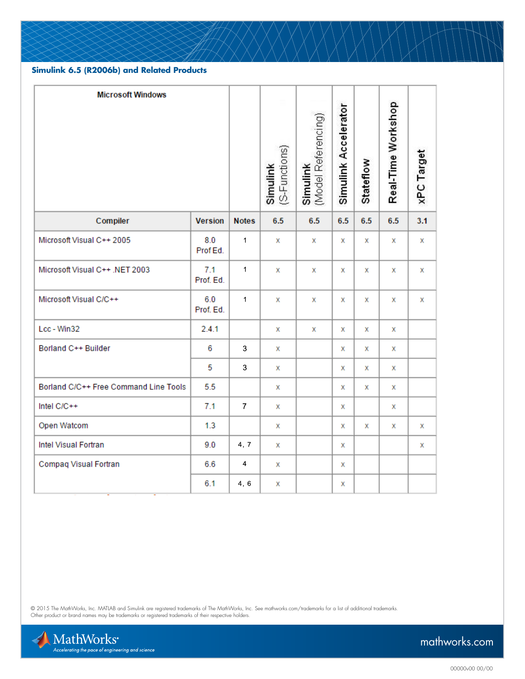### **Simulink 6.5 (R2006b) and Related Products**

| <b>Microsoft Windows</b>              |                  |                | (S-Functions)<br>Simulink | (Model Referencing)<br>Simulink | Simulink Accelerator | Stateflow | Real-Time Workshop | xPC Target |
|---------------------------------------|------------------|----------------|---------------------------|---------------------------------|----------------------|-----------|--------------------|------------|
| Compiler                              | <b>Version</b>   | <b>Notes</b>   | 6.5                       | 6.5                             | 6.5                  | 6.5       | 6.5                | 3.1        |
| Microsoft Visual C++ 2005             | 8.0<br>Prof Ed.  | $\mathbf{1}$   | x                         | х                               | x                    | х         | x                  | х          |
| Microsoft Visual C++ .NET 2003        | 7.1<br>Prof. Ed. | $\mathbf{1}$   | x                         | x                               | х                    | х         | x                  | х          |
| Microsoft Visual C/C++                | 6.0<br>Prof. Ed. | $\mathbf{1}$   | x                         | x                               | x                    | x         | x                  | x          |
| Lcc - Win32                           | 2.4.1            |                | x                         | x                               | х                    | x         | x                  |            |
| Borland C++ Builder                   | 6                | 3              | x                         |                                 | х                    | х         | x                  |            |
|                                       | 5                | 3              | x                         |                                 | x                    | x         | x                  |            |
| Borland C/C++ Free Command Line Tools | 5.5              |                | x                         |                                 | x                    | x         | x                  |            |
| Intel C/C++                           | 7.1              | $\overline{7}$ | x                         |                                 | х                    |           | x                  |            |
| Open Watcom                           | 1.3              |                | x                         |                                 | х                    | х         | х                  | х          |
| Intel Visual Fortran                  | 9.0              | 4, 7           | x                         |                                 | x                    |           |                    | x          |
| <b>Compaq Visual Fortran</b>          | 6.6              | $\overline{4}$ | x                         |                                 | х                    |           |                    |            |
|                                       | 6.1              | 4, 6           | х                         |                                 | х                    |           |                    |            |

© 2015 The MathWorks, Inc. MATLAB and Simulink are registered trademarks of The MathWorks, Inc. See [mathworks.com/trademarks](http://www.mathworks.com/trademarks) for a list of additional trademarks.<br>Other product or brand names may be trademarks or registered

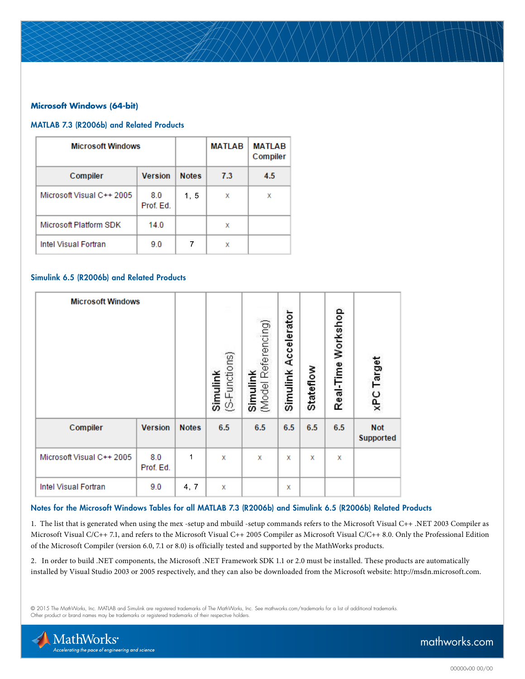## **Microsoft Windows (64-bit)**

#### MATLAB 7.3 (R2006b) and Related Products

| <b>Microsoft Windows</b>  |                  | <b>MATLAB</b> | <b>MATLAB</b><br>Compiler |     |
|---------------------------|------------------|---------------|---------------------------|-----|
| Compiler                  | <b>Version</b>   | <b>Notes</b>  | 7.3                       | 4.5 |
| Microsoft Visual C++ 2005 | 8.0<br>Prof. Ed. | 1, 5          | х                         | х   |
| Microsoft Platform SDK    | 14.0             |               | x                         |     |
| Intel Visual Fortran      | 9.0              |               | х                         |     |

#### Simulink 6.5 (R2006b) and Related Products

| <b>Microsoft Windows</b>    |                  |              | (S-Functions)<br>Simulink | (Model Referencing)<br>Simulink | Simulink Accelerator | Stateflow | Real-Time Workshop | xPC Target              |
|-----------------------------|------------------|--------------|---------------------------|---------------------------------|----------------------|-----------|--------------------|-------------------------|
| Compiler                    | <b>Version</b>   | <b>Notes</b> | 6.5                       | 6.5                             | 6.5                  | 6.5       | 6.5                | <b>Not</b><br>Supported |
| Microsoft Visual C++ 2005   | 8.0<br>Prof. Ed. | 1            | x                         | x                               | x                    | x         | х                  |                         |
| <b>Intel Visual Fortran</b> | 9.0              | 4, 7         | x                         |                                 | х                    |           |                    |                         |

#### Notes for the Microsoft Windows Tables for all MATLAB 7.3 (R2006b) and Simulink 6.5 (R2006b) Related Products

1. The list that is generated when using the mex -setup and mbuild -setup commands refers to the Microsoft Visual C++ .NET 2003 Compiler as Microsoft Visual C/C++ 7.1, and refers to the Microsoft Visual C++ 2005 Compiler as Microsoft Visual C/C++ 8.0. Only the Professional Edition of the Microsoft Compiler (version 6.0, 7.1 or 8.0) is officially tested and supported by the MathWorks products.

2. In order to build .NET components, the Microsoft .NET Framework SDK 1.1 or 2.0 must be installed. These products are automatically installed by Visual Studio 2003 or 2005 respectively, and they can also be downloaded from the Microsoft website: http://msdn.microsoft.com.

© 2015 The MathWorks, Inc. MATLAB and Simulink are registered trademarks of The MathWorks, Inc. See [mathworks.com/trademarks](http://www.mathworks.com/trademarks) for a list of additional trademarks. Other product or brand names may be trademarks or registered trademarks of their respective holders.

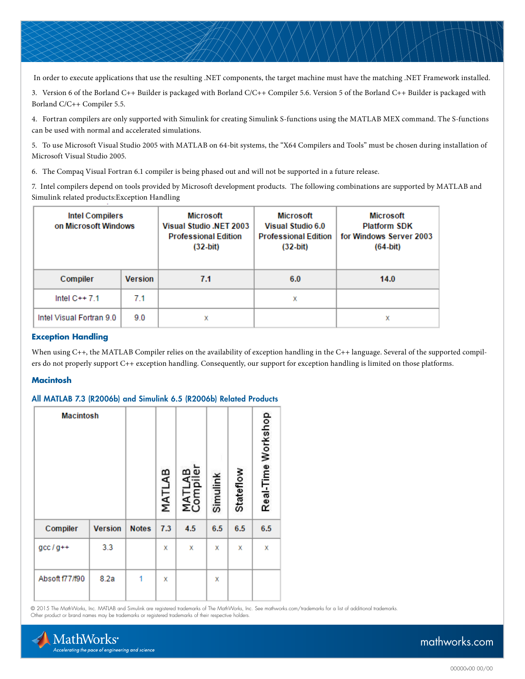In order to execute applications that use the resulting .NET components, the target machine must have the matching .NET Framework installed.

3. Version 6 of the Borland C++ Builder is packaged with Borland C/C++ Compiler 5.6. Version 5 of the Borland C++ Builder is packaged with Borland C/C++ Compiler 5.5.

4. Fortran compilers are only supported with Simulink for creating Simulink S-functions using the MATLAB MEX command. The S-functions can be used with normal and accelerated simulations.

5. To use Microsoft Visual Studio 2005 with MATLAB on 64-bit systems, the "X64 Compilers and Tools" must be chosen during installation of Microsoft Visual Studio 2005.

6. The Compaq Visual Fortran 6.1 compiler is being phased out and will not be supported in a future release.

7. Intel compilers depend on tools provided by Microsoft development products. The following combinations are supported by MATLAB and Simulink related products:Exception Handling

| Intel Compilers<br>on Microsoft Windows |                | <b>Microsoft</b><br>Visual Studio .NET 2003<br><b>Professional Edition</b><br>$(32-bit)$ | Microsoft<br>Visual Studio 6.0<br><b>Professional Edition</b><br>$(32-bit)$ | Microsoft<br><b>Platform SDK</b><br>for Windows Server 2003<br>$(64-bit)$ |  |  |
|-----------------------------------------|----------------|------------------------------------------------------------------------------------------|-----------------------------------------------------------------------------|---------------------------------------------------------------------------|--|--|
| Compiler                                | <b>Version</b> | 7.1                                                                                      | 6.0                                                                         | 14.0                                                                      |  |  |
| Intel $C++7.1$                          | 7.1            |                                                                                          | х                                                                           |                                                                           |  |  |
| Intel Visual Fortran 9.0                | 9.0            | x                                                                                        |                                                                             | χ                                                                         |  |  |

#### **Exception Handling**

When using C++, the MATLAB Compiler relies on the availability of exception handling in the C++ language. Several of the supported compilers do not properly support C++ exception handling. Consequently, our support for exception handling is limited on those platforms.

#### **Macintosh**

#### All MATLAB 7.3 (R2006b) and Simulink 6.5 (R2006b) Related Products

| <b>Macintosh</b> |                |              | MATLAB | Φ<br>≃<br>MAT<br>Com | Simulink | Stateflow | Real-Time Workshop |
|------------------|----------------|--------------|--------|----------------------|----------|-----------|--------------------|
| Compiler         | <b>Version</b> | <b>Notes</b> | 7.3    | 4.5                  | 6.5      | 6.5       | 6.5                |
| $gcc/g++$        | 3.3            |              | x      | x                    | X        | х         | x                  |
| Absoft f77/f90   | 8.2a           | 1            | x      |                      | X        |           |                    |

© 2015 The MathWorks, Inc. MATLAB and Simulink are registered trademarks of The MathWorks, Inc. See [mathworks.com/trademarks](http://www.mathworks.com/trademarks) for a list of additional trademarks. Other product or brand names may be trademarks or registered trademarks of their respective holders.

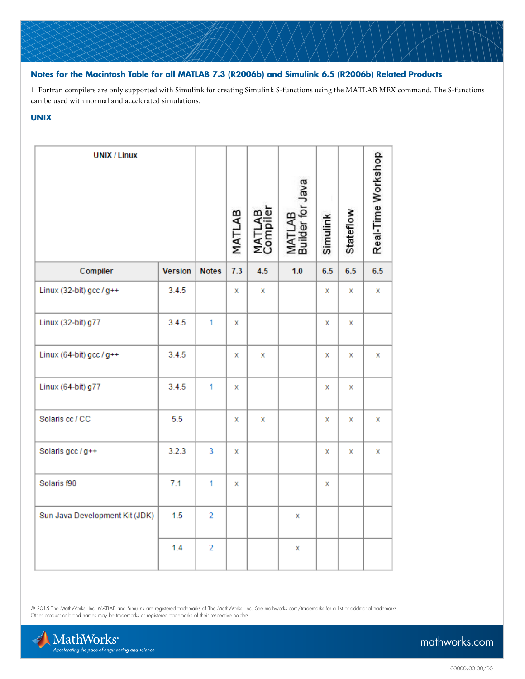# **Notes for the Macintosh Table for all MATLAB 7.3 (R2006b) and Simulink 6.5 (R2006b) Related Products**

1 Fortran compilers are only supported with Simulink for creating Simulink S-functions using the MATLAB MEX command. The S-functions can be used with normal and accelerated simulations.

# **UNIX**

| <b>UNIX / Linux</b>            |                |                | MATLAB | MATLAB<br>Compiler | Builder for Java<br>gy<br>MATI | Simulink | Stateflow | Real-Time Workshop |
|--------------------------------|----------------|----------------|--------|--------------------|--------------------------------|----------|-----------|--------------------|
| Compiler                       | <b>Version</b> | <b>Notes</b>   | 7.3    | 4.5                | 1.0                            | 6.5      | 6.5       | 6.5                |
| Linux (32-bit) gcc $/g++$      | 3.4.5          |                | x      | x                  |                                | x        | х         | x                  |
| Linux (32-bit) g77             | 3.4.5          | $\overline{1}$ | x      |                    |                                | x        | х         |                    |
| Linux (64-bit) gcc $/g++$      | 3.4.5          |                | x      | x                  |                                | x        | x         | x                  |
| Linux (64-bit) g77             | 3.4.5          | 1              | x      |                    |                                | x        | х         |                    |
| Solaris cc / CC                | 5.5            |                | x      | x                  |                                | x        | x         | x                  |
| Solaris gcc / g++              | 3.2.3          | 3              | x      |                    |                                | x        | x         | x                  |
| Solaris f90                    | 7.1            | 1              | x      |                    |                                | х        |           |                    |
| Sun Java Development Kit (JDK) | 1.5            | $\overline{2}$ |        |                    | x                              |          |           |                    |
|                                | 1.4            | $\overline{2}$ |        |                    | X                              |          |           |                    |

© 2015 The MathWorks, Inc. MATLAB and Simulink are registered trademarks of The MathWorks, Inc. See [mathworks.com/trademarks](http://www.mathworks.com/trademarks) for a list of additional trademarks.<br>Other product or brand names may be trademarks or registered